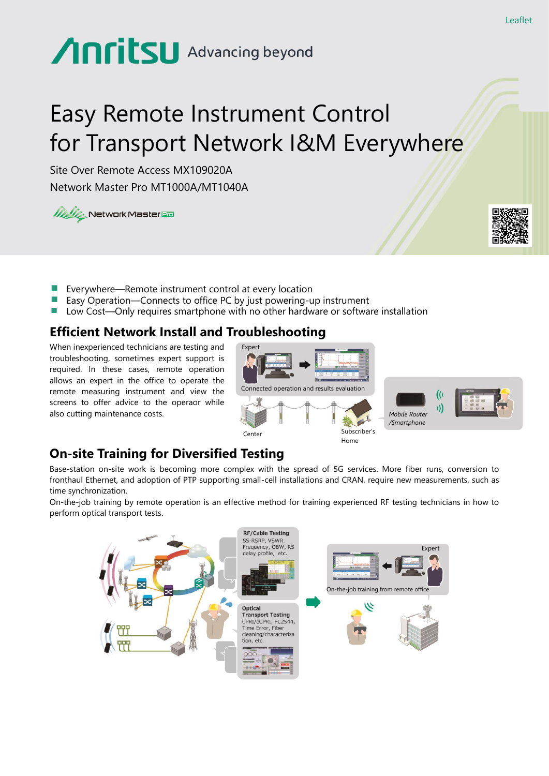# Anritsu Advancing beyond

# Easy Remote Instrument Control for Transport Network I&M Everywhere

Site Over Remote Access MX109020A Network Master Pro MT1000A/MT1040A

**WAY Network Master Em** 



- Everywhere—Remote instrument control at every location
- Easy Operation—Connects to office PC by just powering-up instrument
- Low Cost—Only requires smartphone with no other hardware or software installation

### **Efficient Network Install and Troubleshooting**

When inexperienced technicians are testing and troubleshooting, sometimes expert support is required. In these cases, remote operation allows an expert in the office to operate the remote measuring instrument and view the screens to offer advice to the operaor while also cutting maintenance costs.



## **On-site Training for Diversified Testing**

Base-station on-site work is becoming more complex with the spread of 5G services. More fiber runs, conversion to fronthaul Ethernet, and adoption of PTP supporting small-cell installations and CRAN, require new measurements, such as time synchronization.

On-the-job training by remote operation is an effective method for training experienced RF testing technicians in how to perform optical transport tests.